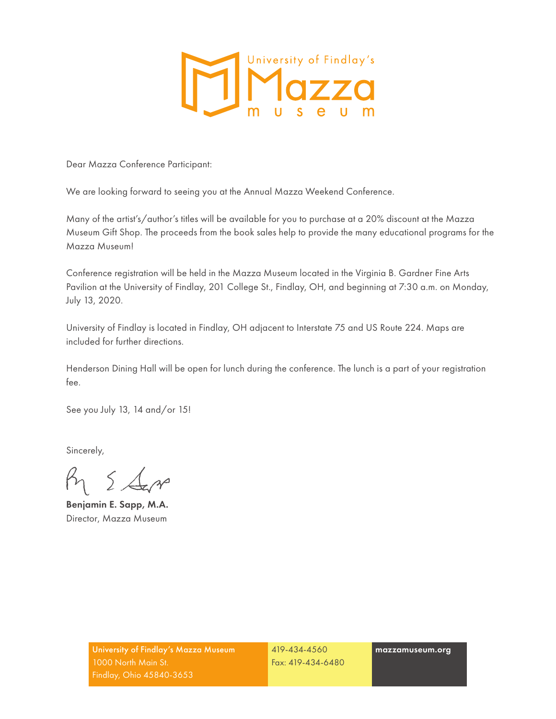

Dear Mazza Conference Participant:

We are looking forward to seeing you at the Annual Mazza Weekend Conference.

Many of the artist's/author's titles will be available for you to purchase at a 20% discount at the Mazza Museum Gift Shop. The proceeds from the book sales help to provide the many educational programs for the Mazza Museum!

Conference registration will be held in the Mazza Museum located in the Virginia B. Gardner Fine Arts Pavilion at the University of Findlay, 201 College St., Findlay, OH, and beginning at 7:30 a.m. on Monday, July 13, 2020.

University of Findlay is located in Findlay, OH adjacent to Interstate 75 and US Route 224. Maps are included for further directions.

Henderson Dining Hall will be open for lunch during the conference. The lunch is a part of your registration fee.

See you July 13, 14 and/or 15!

Sincerely,

 $\beta_1$   $\leq$   $\Delta$ 

Benjamin E. Sapp, M.A. Director, Mazza Museum

419-434-4560 Fax: 419-434-6480 mazzamuseum.org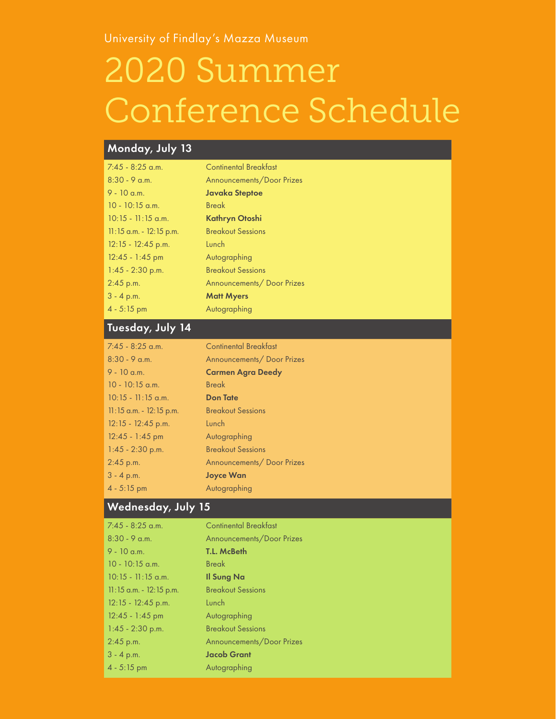University of Findlay's Mazza Museum

# 2020 Summer Conference Schedule

# Monday, July 13

| $7:45 - 8:25$ a.m.         | <b>Continental Breakfast</b> |
|----------------------------|------------------------------|
| $8:30 - 9$ a.m.            | Announcements/Door Prizes    |
| $9 - 10$ a.m.              | <b>Javaka Steptoe</b>        |
| $10 - 10:15$ a.m.          | <b>Break</b>                 |
| $10:15 - 11:15$ a.m.       | Kathryn Otoshi               |
| $11:15$ a.m. $-12:15$ p.m. | <b>Breakout Sessions</b>     |
| $12:15 - 12:45$ p.m.       | Lunch                        |
| $12:45 - 1:45$ pm          | Autographing                 |
| $1:45 - 2:30$ p.m.         | <b>Breakout Sessions</b>     |
| $2:45$ p.m.                | Announcements/Door Prizes    |
| $3 - 4 p.m.$               | <b>Matt Myers</b>            |
| $4 - 5:15$ pm              | Autographing                 |

# Tuesday, July 14

| $7:45 - 8:25$ a.m.         | <b>Continental Breakfast</b> |
|----------------------------|------------------------------|
| $8:30 - 9$ a.m.            | Announcements/ Door Prizes   |
| $9 - 10$ a.m.              | <b>Carmen Agra Deedy</b>     |
| $10 - 10:15$ a.m.          | <b>Break</b>                 |
| $10:15 - 11:15$ a.m.       | <b>Don Tate</b>              |
| $11:15$ a.m. $-12:15$ p.m. | <b>Breakout Sessions</b>     |
| $12:15 - 12:45$ p.m.       | Lunch                        |
| $12:45 - 1:45$ pm          | Autographing                 |
| $1:45 - 2:30$ p.m.         | <b>Breakout Sessions</b>     |
| $2:45$ p.m.                | Announcements/ Door Prizes   |
| $3 - 4$ p.m.               | <b>Joyce Wan</b>             |
| $4 - 5:15$ pm              | Autographing                 |

# Wednesday, July 15

| $7:45 - 8:25$ a.m.        | <b>Continental Breakfast</b> |
|---------------------------|------------------------------|
| $8:30 - 9$ a.m.           | Announcements/Door Prizes    |
| $9 - 10$ a.m.             | <b>T.L. McBeth</b>           |
| $10 - 10:15$ a.m.         | <b>Break</b>                 |
| $10:15 - 11:15$ a.m.      | <b>Il Sung Na</b>            |
| $11:15$ a.m. - 12:15 p.m. | <b>Breakout Sessions</b>     |
| 12:15 - 12:45 p.m.        | Lunch                        |
| $12:45 - 1:45$ pm         | Autographing                 |
| $1:45 - 2:30$ p.m.        | <b>Breakout Sessions</b>     |
| $2:45$ p.m.               | Announcements/Door Prizes    |
| $3 - 4 p.m.$              | <b>Jacob Grant</b>           |
| $4 - 5:15$ pm             | Autographing                 |